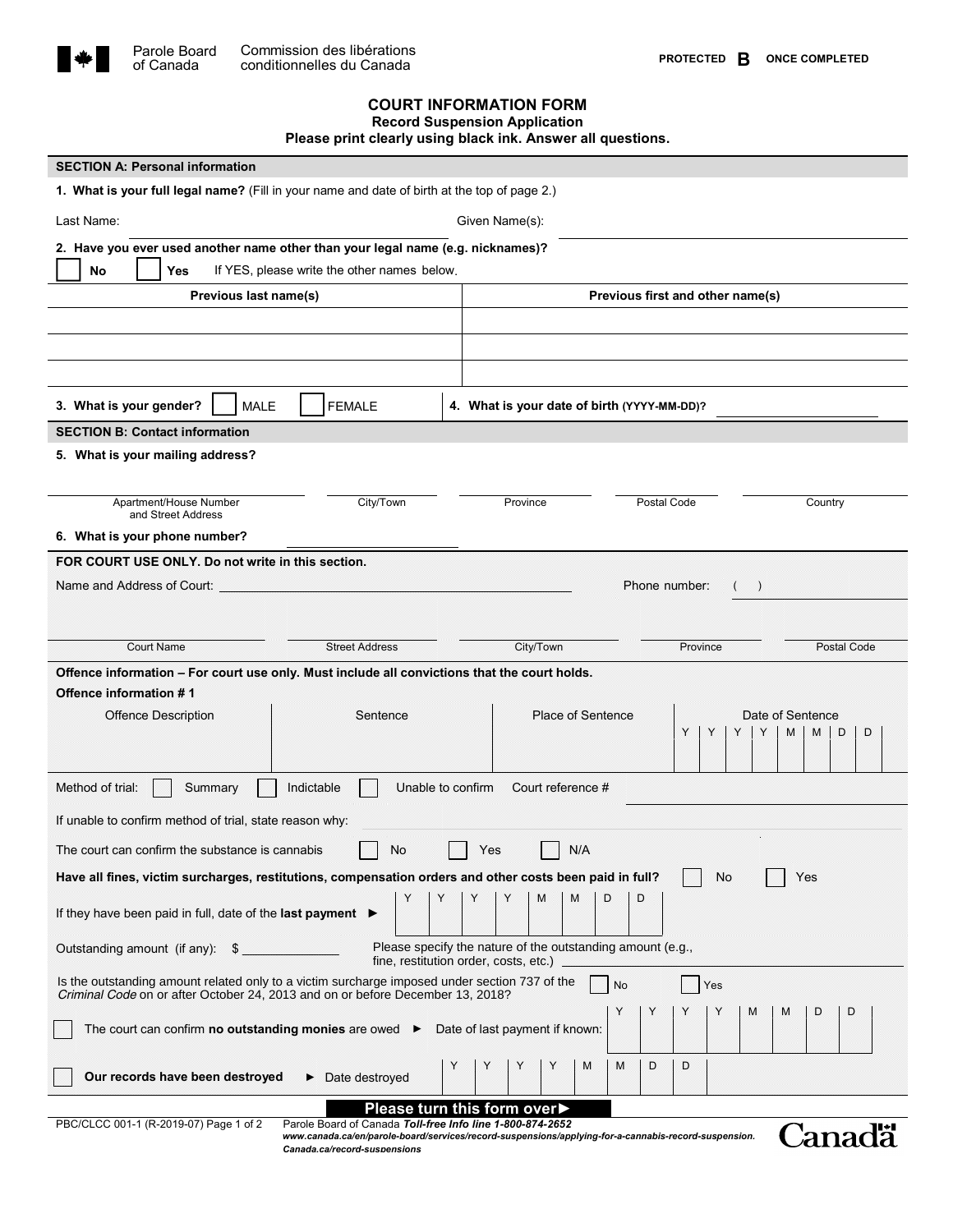

of Canada

## **COURT INFORMATION FORM**

**Record Suspension Application Please print clearly using black ink. Answer all questions.**

| <b>SECTION A: Personal information</b>                                                                                                                                                       |                                                                                                                                      |                                             |                                                     |  |
|----------------------------------------------------------------------------------------------------------------------------------------------------------------------------------------------|--------------------------------------------------------------------------------------------------------------------------------------|---------------------------------------------|-----------------------------------------------------|--|
| 1. What is your full legal name? (Fill in your name and date of birth at the top of page 2.)                                                                                                 |                                                                                                                                      |                                             |                                                     |  |
| Last Name:                                                                                                                                                                                   |                                                                                                                                      | Given Name(s):                              |                                                     |  |
| 2. Have you ever used another name other than your legal name (e.g. nicknames)?                                                                                                              |                                                                                                                                      |                                             |                                                     |  |
| <b>No</b><br>If YES, please write the other names below.<br>Yes                                                                                                                              |                                                                                                                                      |                                             |                                                     |  |
| Previous last name(s)                                                                                                                                                                        |                                                                                                                                      | Previous first and other name(s)            |                                                     |  |
|                                                                                                                                                                                              |                                                                                                                                      |                                             |                                                     |  |
|                                                                                                                                                                                              |                                                                                                                                      |                                             |                                                     |  |
|                                                                                                                                                                                              |                                                                                                                                      |                                             |                                                     |  |
| 3. What is your gender?<br>MALE                                                                                                                                                              | <b>FEMALE</b>                                                                                                                        | 4. What is your date of birth (YYYY-MM-DD)? |                                                     |  |
| <b>SECTION B: Contact information</b>                                                                                                                                                        |                                                                                                                                      |                                             |                                                     |  |
| 5. What is your mailing address?                                                                                                                                                             |                                                                                                                                      |                                             |                                                     |  |
|                                                                                                                                                                                              |                                                                                                                                      |                                             |                                                     |  |
| Apartment/House Number<br>and Street Address                                                                                                                                                 | City/Town                                                                                                                            | Province                                    | Postal Code<br>Country                              |  |
| 6. What is your phone number?                                                                                                                                                                |                                                                                                                                      |                                             |                                                     |  |
| FOR COURT USE ONLY. Do not write in this section.                                                                                                                                            |                                                                                                                                      |                                             |                                                     |  |
| Name and Address of Court:                                                                                                                                                                   |                                                                                                                                      |                                             | Phone number:<br>$\rightarrow$                      |  |
|                                                                                                                                                                                              |                                                                                                                                      |                                             |                                                     |  |
|                                                                                                                                                                                              |                                                                                                                                      |                                             |                                                     |  |
| <b>Court Name</b>                                                                                                                                                                            | <b>Street Address</b>                                                                                                                | City/Town                                   | Province<br>Postal Code                             |  |
| Offence information - For court use only. Must include all convictions that the court holds.                                                                                                 |                                                                                                                                      |                                             |                                                     |  |
| Offence information #1                                                                                                                                                                       |                                                                                                                                      |                                             |                                                     |  |
| <b>Offence Description</b>                                                                                                                                                                   | Sentence                                                                                                                             | <b>Place of Sentence</b>                    | Date of Sentence<br>M<br>M<br>D<br>Y<br>Y<br>Y<br>D |  |
|                                                                                                                                                                                              |                                                                                                                                      |                                             |                                                     |  |
| Method of trial:                                                                                                                                                                             |                                                                                                                                      | Court reference #                           |                                                     |  |
| Unable to confirm<br>Summary<br>Indictable                                                                                                                                                   |                                                                                                                                      |                                             |                                                     |  |
| If unable to confirm method of trial, state reason why:                                                                                                                                      |                                                                                                                                      |                                             |                                                     |  |
| No<br><b>N/A</b><br>Yes<br>The court can confirm the substance is cannabis                                                                                                                   |                                                                                                                                      |                                             |                                                     |  |
| Have all fines, victim surcharges, restitutions, compensation orders and other costs been paid in full?<br>No<br>Yes                                                                         |                                                                                                                                      |                                             |                                                     |  |
| Y<br>Υ<br>Υ<br>Υ<br>M<br>M<br>D<br>D<br>If they have been paid in full, date of the last payment $\blacktriangleright$                                                                       |                                                                                                                                      |                                             |                                                     |  |
| Please specify the nature of the outstanding amount (e.g.,<br>Outstanding amount (if any):<br>\$<br>fine, restitution order, costs, etc.)                                                    |                                                                                                                                      |                                             |                                                     |  |
| Is the outstanding amount related only to a victim surcharge imposed under section 737 of the<br>No<br>Yes<br>Criminal Code on or after October 24, 2013 and on or before December 13, 2018? |                                                                                                                                      |                                             |                                                     |  |
| Y<br>Y<br>Υ<br>Υ<br>M<br>D<br>M<br>D                                                                                                                                                         |                                                                                                                                      |                                             |                                                     |  |
| The court can confirm <b>no outstanding monies</b> are owed $\blacktriangleright$ Date of last payment if known:                                                                             |                                                                                                                                      |                                             |                                                     |  |
|                                                                                                                                                                                              | Y                                                                                                                                    | Υ<br>Υ<br>Υ<br>M<br>M                       | D<br>D                                              |  |
| Our records have been destroyed                                                                                                                                                              | $\blacktriangleright$ Date destroyed                                                                                                 |                                             |                                                     |  |
| Please turn this form over▶<br>PBC/CLCC 001-1 (R-2019-07) Page 1 of 2<br>Parole Board of Canada Toll-free Info line 1-800-874-2652                                                           |                                                                                                                                      |                                             |                                                     |  |
|                                                                                                                                                                                              | www.canada.ca/en/parole-board/services/record-suspensions/applying-for-a-cannabis-record-suspension.<br>Canada.ca/record-suspensions |                                             | Canadä                                              |  |